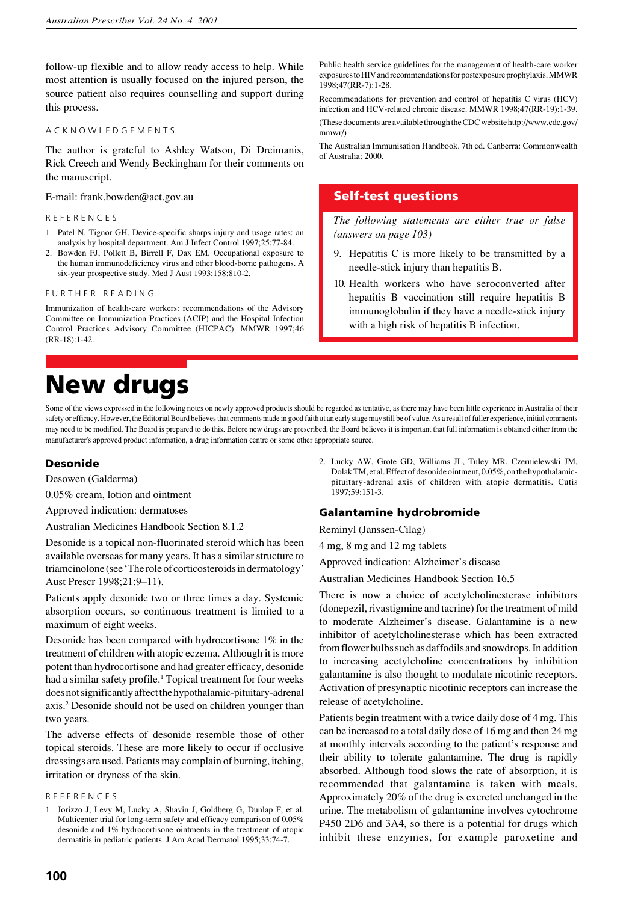follow-up flexible and to allow ready access to help. While most attention is usually focused on the injured person, the source patient also requires counselling and support during this process.

#### A C K N O W L E D G E M E N T S

The author is grateful to Ashley Watson, Di Dreimanis, Rick Creech and Wendy Beckingham for their comments on the manuscript.

E-mail: frank.bowden@act.gov.au

### R E F E R E N C E S

- 1. Patel N, Tignor GH. Device-specific sharps injury and usage rates: an analysis by hospital department. Am J Infect Control 1997;25:77-84.
- 2. Bowden FJ, Pollett B, Birrell F, Dax EM. Occupational exposure to the human immunodeficiency virus and other blood-borne pathogens. A six-year prospective study. Med J Aust 1993;158:810-2.

#### FURTHER READING

Immunization of health-care workers: recommendations of the Advisory Committee on Immunization Practices (ACIP) and the Hospital Infection Control Practices Advisory Committee (HICPAC). MMWR 1997;46 (RR-18):1-42.

**New drugs**

Some of the views expressed in the following notes on newly approved products should be regarded as tentative, as there may have been little experience in Australia of their safety or efficacy. However, the Editorial Board believes that comments made in good faith at an early stage may still be of value. As a result of fuller experience, initial comments may need to be modified. The Board is prepared to do this. Before new drugs are prescribed, the Board believes it is important that full information is obtained either from the manufacturer's approved product information, a drug information centre or some other appropriate source.

## **Desonide**

Desowen (Galderma)

0.05% cream, lotion and ointment

Approved indication: dermatoses

Australian Medicines Handbook Section 8.1.2

Desonide is a topical non-fluorinated steroid which has been available overseas for many years. It has a similar structure to triamcinolone (see 'The role of corticosteroids in dermatology' Aust Prescr 1998;21:9–11).

Patients apply desonide two or three times a day. Systemic absorption occurs, so continuous treatment is limited to a maximum of eight weeks.

Desonide has been compared with hydrocortisone 1% in the treatment of children with atopic eczema. Although it is more potent than hydrocortisone and had greater efficacy, desonide had a similar safety profile.<sup>1</sup> Topical treatment for four weeks does not significantly affect the hypothalamic-pituitary-adrenal axis.2 Desonide should not be used on children younger than two years.

The adverse effects of desonide resemble those of other topical steroids. These are more likely to occur if occlusive dressings are used. Patients may complain of burning, itching, irritation or dryness of the skin.

Public health service guidelines for the management of health-care worker exposures to HIV and recommendations for postexposure prophylaxis. MMWR 1998;47(RR-7):1-28.

Recommendations for prevention and control of hepatitis C virus (HCV) infection and HCV-related chronic disease. MMWR 1998;47(RR-19):1-39.

(These documents are available through the CDC website http://www.cdc.gov/ mmwr/)

The Australian Immunisation Handbook. 7th ed. Canberra: Commonwealth of Australia; 2000.

# **Self-test questions**

*The following statements are either true or false (answers on page 103)*

- 9. Hepatitis C is more likely to be transmitted by a needle-stick injury than hepatitis B.
- 10. Health workers who have seroconverted after hepatitis B vaccination still require hepatitis B immunoglobulin if they have a needle-stick injury with a high risk of hepatitis B infection.

2. Lucky AW, Grote GD, Williams JL, Tuley MR, Czernielewski JM, Dolak TM, et al. Effect of desonide ointment, 0.05%, on the hypothalamicpituitary-adrenal axis of children with atopic dermatitis. Cutis 1997;59:151-3.

## **Galantamine hydrobromide**

Reminyl (Janssen-Cilag)

4 mg, 8 mg and 12 mg tablets

Approved indication: Alzheimer's disease

Australian Medicines Handbook Section 16.5

There is now a choice of acetylcholinesterase inhibitors (donepezil, rivastigmine and tacrine) for the treatment of mild to moderate Alzheimer's disease. Galantamine is a new inhibitor of acetylcholinesterase which has been extracted from flower bulbs such as daffodils and snowdrops. In addition to increasing acetylcholine concentrations by inhibition galantamine is also thought to modulate nicotinic receptors. Activation of presynaptic nicotinic receptors can increase the release of acetylcholine.

Patients begin treatment with a twice daily dose of 4 mg. This can be increased to a total daily dose of 16 mg and then 24 mg at monthly intervals according to the patient's response and their ability to tolerate galantamine. The drug is rapidly absorbed. Although food slows the rate of absorption, it is recommended that galantamine is taken with meals. Approximately 20% of the drug is excreted unchanged in the urine. The metabolism of galantamine involves cytochrome P450 2D6 and 3A4, so there is a potential for drugs which inhibit these enzymes, for example paroxetine and

R E F E R E N C E S

<sup>1.</sup> Jorizzo J, Levy M, Lucky A, Shavin J, Goldberg G, Dunlap F, et al. Multicenter trial for long-term safety and efficacy comparison of 0.05% desonide and 1% hydrocortisone ointments in the treatment of atopic dermatitis in pediatric patients. J Am Acad Dermatol 1995;33:74-7.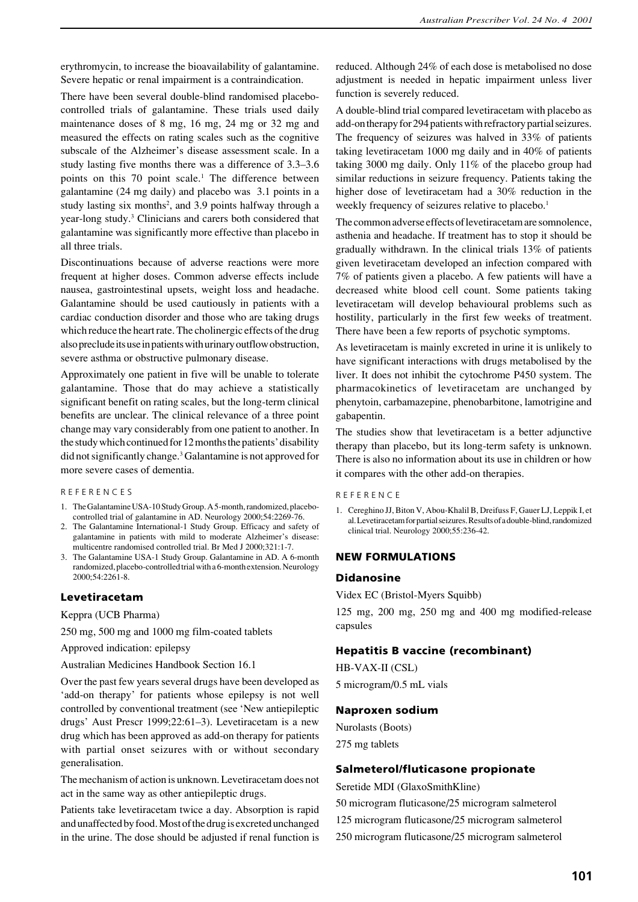erythromycin, to increase the bioavailability of galantamine. Severe hepatic or renal impairment is a contraindication.

There have been several double-blind randomised placebocontrolled trials of galantamine. These trials used daily maintenance doses of 8 mg, 16 mg, 24 mg or 32 mg and measured the effects on rating scales such as the cognitive subscale of the Alzheimer's disease assessment scale. In a study lasting five months there was a difference of 3.3–3.6 points on this 70 point scale.<sup>1</sup> The difference between galantamine (24 mg daily) and placebo was 3.1 points in a study lasting six months<sup>2</sup>, and 3.9 points halfway through a year-long study.<sup>3</sup> Clinicians and carers both considered that galantamine was significantly more effective than placebo in all three trials.

Discontinuations because of adverse reactions were more frequent at higher doses. Common adverse effects include nausea, gastrointestinal upsets, weight loss and headache. Galantamine should be used cautiously in patients with a cardiac conduction disorder and those who are taking drugs which reduce the heart rate. The cholinergic effects of the drug also preclude its use in patients with urinary outflow obstruction, severe asthma or obstructive pulmonary disease.

Approximately one patient in five will be unable to tolerate galantamine. Those that do may achieve a statistically significant benefit on rating scales, but the long-term clinical benefits are unclear. The clinical relevance of a three point change may vary considerably from one patient to another. In the study which continued for 12 months the patients' disability did not significantly change.<sup>3</sup> Galantamine is not approved for more severe cases of dementia.

### R E F E R E N C E S

- 1. The Galantamine USA-10 Study Group. A 5-month, randomized, placebocontrolled trial of galantamine in AD. Neurology 2000;54:2269-76.
- 2. The Galantamine International-1 Study Group. Efficacy and safety of galantamine in patients with mild to moderate Alzheimer's disease: multicentre randomised controlled trial. Br Med J 2000;321:1-7.
- 3. The Galantamine USA-1 Study Group. Galantamine in AD. A 6-month randomized, placebo-controlled trial with a 6-month extension. Neurology 2000;54:2261-8.

#### **Levetiracetam**

Keppra (UCB Pharma)

250 mg, 500 mg and 1000 mg film-coated tablets

Approved indication: epilepsy

Australian Medicines Handbook Section 16.1

Over the past few years several drugs have been developed as 'add-on therapy' for patients whose epilepsy is not well controlled by conventional treatment (see 'New antiepileptic drugs' Aust Prescr 1999;22:61–3). Levetiracetam is a new drug which has been approved as add-on therapy for patients with partial onset seizures with or without secondary generalisation.

The mechanism of action is unknown. Levetiracetam does not act in the same way as other antiepileptic drugs.

Patients take levetiracetam twice a day. Absorption is rapid and unaffected by food. Most of the drug is excreted unchanged in the urine. The dose should be adjusted if renal function is reduced. Although 24% of each dose is metabolised no dose adjustment is needed in hepatic impairment unless liver function is severely reduced.

A double-blind trial compared levetiracetam with placebo as add-on therapy for 294 patients with refractory partial seizures. The frequency of seizures was halved in 33% of patients taking levetiracetam 1000 mg daily and in 40% of patients taking 3000 mg daily. Only 11% of the placebo group had similar reductions in seizure frequency. Patients taking the higher dose of levetiracetam had a 30% reduction in the weekly frequency of seizures relative to placebo.<sup>1</sup>

The common adverse effects of levetiracetam are somnolence, asthenia and headache. If treatment has to stop it should be gradually withdrawn. In the clinical trials 13% of patients given levetiracetam developed an infection compared with 7% of patients given a placebo. A few patients will have a decreased white blood cell count. Some patients taking levetiracetam will develop behavioural problems such as hostility, particularly in the first few weeks of treatment. There have been a few reports of psychotic symptoms.

As levetiracetam is mainly excreted in urine it is unlikely to have significant interactions with drugs metabolised by the liver. It does not inhibit the cytochrome P450 system. The pharmacokinetics of levetiracetam are unchanged by phenytoin, carbamazepine, phenobarbitone, lamotrigine and gabapentin.

The studies show that levetiracetam is a better adjunctive therapy than placebo, but its long-term safety is unknown. There is also no information about its use in children or how it compares with the other add-on therapies.

R E F E R E N C E

1. Cereghino JJ, Biton V, Abou-Khalil B, Dreifuss F, Gauer LJ, Leppik I, et al. Levetiracetam for partial seizures. Results of a double-blind, randomized clinical trial. Neurology 2000;55:236-42.

#### **NEW FORMULATIONS**

#### **Didanosine**

Videx EC (Bristol-Myers Squibb)

125 mg, 200 mg, 250 mg and 400 mg modified-release capsules

### **Hepatitis B vaccine (recombinant)**

HB-VAX-II (CSL) 5 microgram/0.5 mL vials

#### **Naproxen sodium**

Nurolasts (Boots) 275 mg tablets

### **Salmeterol/fluticasone propionate**

Seretide MDI (GlaxoSmithKline)

50 microgram fluticasone/25 microgram salmeterol 125 microgram fluticasone/25 microgram salmeterol 250 microgram fluticasone/25 microgram salmeterol